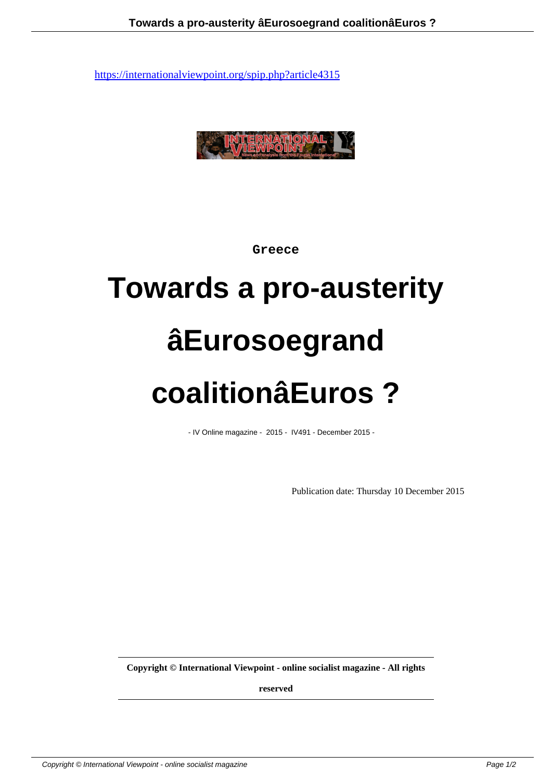

**Greece**

## **Towards a pro-austerity âEurosoegrand coalitionâEuros ?**

- IV Online magazine - 2015 - IV491 - December 2015 -

Publication date: Thursday 10 December 2015

**Copyright © International Viewpoint - online socialist magazine - All rights**

**reserved**